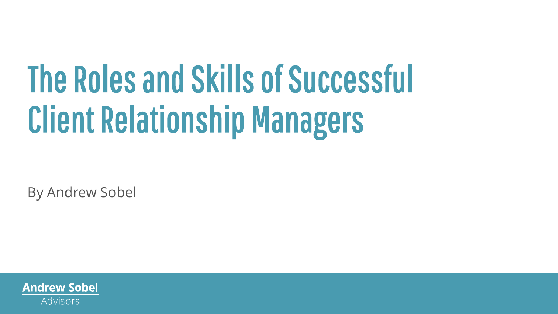# The Roles and Skills of Successful Client Relationship Managers

By Andrew Sobel

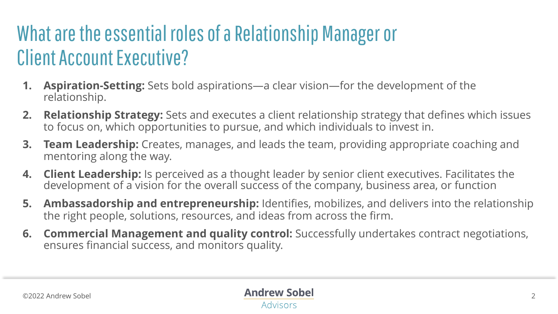### What are the essential roles of a Relationship Manager or Client Account Executive?

- **1. Aspiration-Setting:** Sets bold aspirations—a clear vision—for the development of the relationship.
- **2. Relationship Strategy:** Sets and executes a client relationship strategy that defines which issues to focus on, which opportunities to pursue, and which individuals to invest in.
- **3. Team Leadership:** Creates, manages, and leads the team, providing appropriate coaching and mentoring along the way.
- **4. Client Leadership:** Is perceived as a thought leader by senior client executives. Facilitates the development of a vision for the overall success of the company, business area, or function
- **5. Ambassadorship and entrepreneurship:** Identifies, mobilizes, and delivers into the relationship the right people, solutions, resources, and ideas from across the firm.
- **6. Commercial Management and quality control:** Successfully undertakes contract negotiations, ensures financial success, and monitors quality.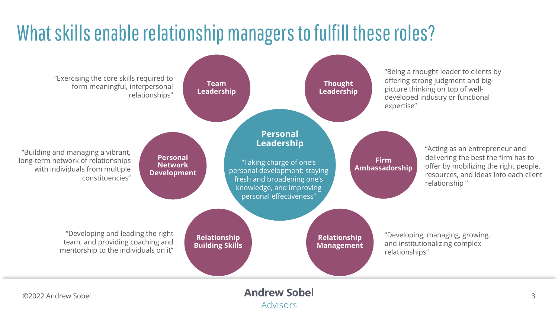### What skills enable relationship managers to fulfill these roles?

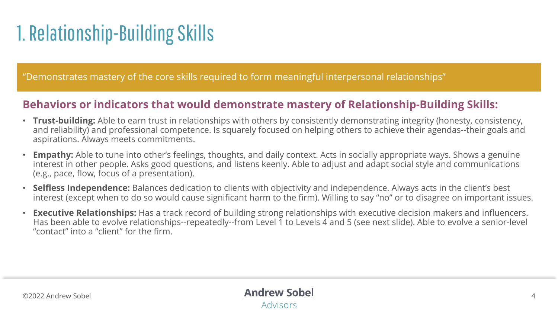## 1. Relationship-Building Skills

"Demonstrates mastery of the core skills required to form meaningful interpersonal relationships"

#### **Behaviors or indicators that would demonstrate mastery of Relationship-Building Skills:**

- **Trust-building:** Able to earn trust in relationships with others by consistently demonstrating integrity (honesty, consistency, and reliability) and professional competence. Is squarely focused on helping others to achieve their agendas--their goals and aspirations. Always meets commitments.
- **Empathy:** Able to tune into other's feelings, thoughts, and daily context. Acts in socially appropriate ways. Shows a genuine interest in other people. Asks good questions, and listens keenly. Able to adjust and adapt social style and communications (e.g., pace, flow, focus of a presentation).
- **Selfless Independence:** Balances dedication to clients with objectivity and independence. Always acts in the client's best interest (except when to do so would cause significant harm to the firm). Willing to say "no" or to disagree on important issues.
- **Executive Relationships:** Has a track record of building strong relationships with executive decision makers and influencers. Has been able to evolve relationships--repeatedly--from Level 1 to Levels 4 and 5 (see next slide). Able to evolve a senior-level "contact" into a "client" for the firm.

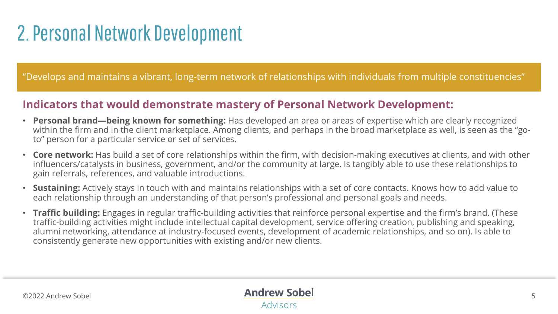### 2. Personal Network Development

"Develops and maintains a vibrant, long-term network of relationships with individuals from multiple constituencies"

#### **Indicators that would demonstrate mastery of Personal Network Development:**

- **Personal brand—being known for something:** Has developed an area or areas of expertise which are clearly recognized within the firm and in the client marketplace. Among clients, and perhaps in the broad marketplace as well, is seen as the "goto" person for a particular service or set of services.
- **Core network:** Has build a set of core relationships within the firm, with decision-making executives at clients, and with other influencers/catalysts in business, government, and/or the community at large. Is tangibly able to use these relationships to gain referrals, references, and valuable introductions.
- **Sustaining:** Actively stays in touch with and maintains relationships with a set of core contacts. Knows how to add value to each relationship through an understanding of that person's professional and personal goals and needs.
- **Traffic building:** Engages in regular traffic-building activities that reinforce personal expertise and the firm's brand. (These traffic-building activities might include intellectual capital development, service offering creation, publishing and speaking, alumni networking, attendance at industry-focused events, development of academic relationships, and so on). Is able to consistently generate new opportunities with existing and/or new clients.

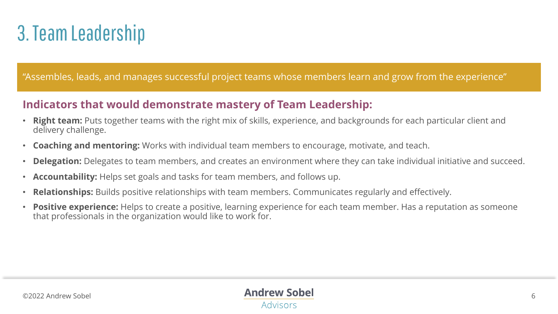### 3. Team Leadership

#### "Assembles, leads, and manages successful project teams whose members learn and grow from the experience"

### **Indicators that would demonstrate mastery of Team Leadership:**

- **Right team:** Puts together teams with the right mix of skills, experience, and backgrounds for each particular client and delivery challenge.
- **Coaching and mentoring:** Works with individual team members to encourage, motivate, and teach.
- **Delegation:** Delegates to team members, and creates an environment where they can take individual initiative and succeed.
- **Accountability:** Helps set goals and tasks for team members, and follows up.
- **Relationships:** Builds positive relationships with team members. Communicates regularly and effectively.
- **Positive experience:** Helps to create a positive, learning experience for each team member. Has a reputation as someone that professionals in the organization would like to work for.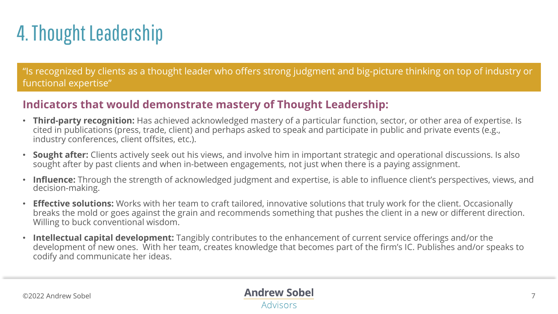## 4. Thought Leadership

"Is recognized by clients as a thought leader who offers strong judgment and big-picture thinking on top of industry or functional expertise"

### **Indicators that would demonstrate mastery of Thought Leadership:**

- **Third-party recognition:** Has achieved acknowledged mastery of a particular function, sector, or other area of expertise. Is cited in publications (press, trade, client) and perhaps asked to speak and participate in public and private events (e.g., industry conferences, client offsites, etc.).
- **Sought after:** Clients actively seek out his views, and involve him in important strategic and operational discussions. Is also sought after by past clients and when in-between engagements, not just when there is a paying assignment.
- **Influence:** Through the strength of acknowledged judgment and expertise, is able to influence client's perspectives, views, and decision-making.
- **Effective solutions:** Works with her team to craft tailored, innovative solutions that truly work for the client. Occasionally breaks the mold or goes against the grain and recommends something that pushes the client in a new or different direction. Willing to buck conventional wisdom.
- **Intellectual capital development:** Tangibly contributes to the enhancement of current service offerings and/or the development of new ones. With her team, creates knowledge that becomes part of the firm's IC. Publishes and/or speaks to codify and communicate her ideas.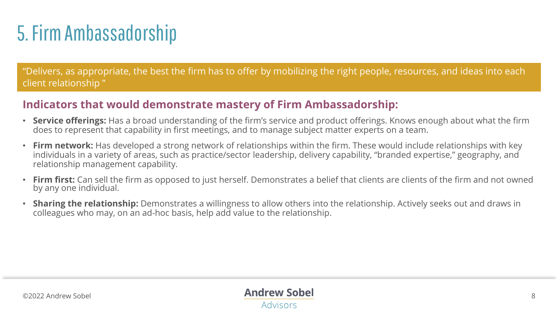## 5. Firm Ambassadorship

"Delivers, as appropriate, the best the firm has to offer by mobilizing the right people, resources, and ideas into each client relationship "

#### **Indicators that would demonstrate mastery of Firm Ambassadorship:**

- **Service offerings:** Has a broad understanding of the firm's service and product offerings. Knows enough about what the firm does to represent that capability in first meetings, and to manage subject matter experts on a team.
- **Firm network:** Has developed a strong network of relationships within the firm. These would include relationships with key individuals in a variety of areas, such as practice/sector leadership, delivery capability, "branded expertise," geography, and relationship management capability.
- **Firm first:** Can sell the firm as opposed to just herself. Demonstrates a belief that clients are clients of the firm and not owned by any one individual.
- **Sharing the relationship:** Demonstrates a willingness to allow others into the relationship. Actively seeks out and draws in colleagues who may, on an ad-hoc basis, help add value to the relationship.

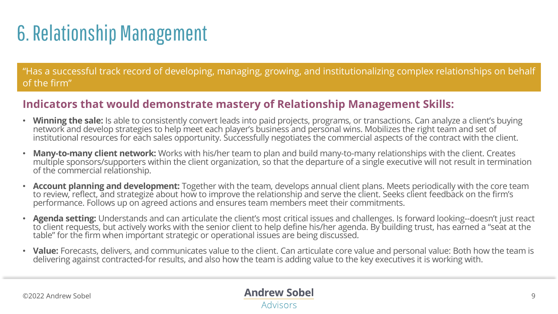## 6. Relationship Management

"Has a successful track record of developing, managing, growing, and institutionalizing complex relationships on behalf of the firm"

#### **Indicators that would demonstrate mastery of Relationship Management Skills:**

- **Winning the sale:** Is able to consistently convert leads into paid projects, programs, or transactions. Can analyze a client's buying network and develop strategies to help meet each player's business and personal wins. Mobilizes the right team and set of institutional resources for each sales opportunity. Successfully negotiates the commercial aspects of the contract with the client.
- **Many-to-many client network:** Works with his/her team to plan and build many-to-many relationships with the client. Creates multiple sponsors/supporters within the client organization, so that the departure of a single executive will not result in termination of the commercial relationship.
- **Account planning and development:** Together with the team, develops annual client plans. Meets periodically with the core team to review, reflect, and strategize about how to improve the relationship and serve the client. Seeks client feedback on the firm's performance. Follows up on agreed actions and ensures team members meet their commitments.
- **Agenda setting:** Understands and can articulate the client's most critical issues and challenges. Is forward looking--doesn't just react to client requests, but actively works with the senior client to help define his/her agenda. By building trust, has earned a "seat at the table" for the firm when important strategic or operational issues are being discussed.
- Value: Forecasts, delivers, and communicates value to the client. Can articulate core value and personal value: Both how the team is delivering against contracted-for results, and also how the team is adding value to the key executives it is working with.